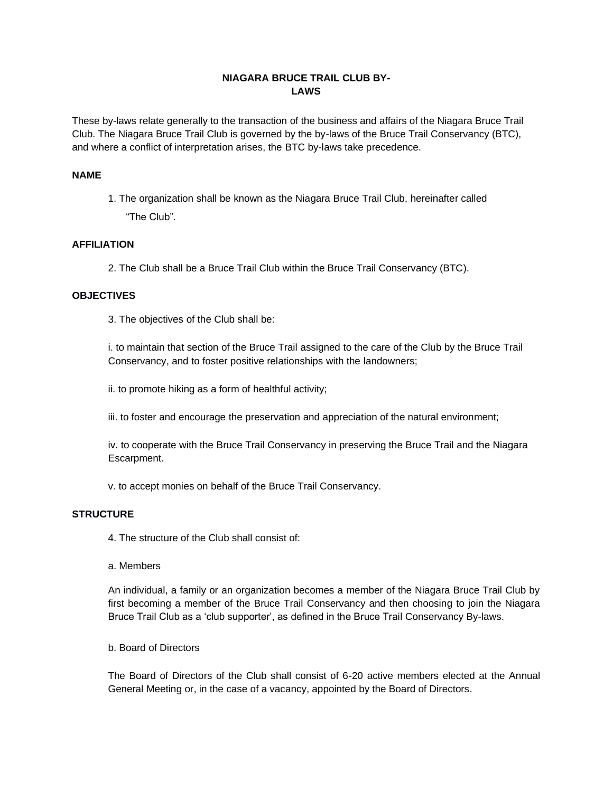## **NIAGARA BRUCE TRAIL CLUB BY-LAWS**

These by-laws relate generally to the transaction of the business and affairs of the Niagara Bruce Trail Club. The Niagara Bruce Trail Club is governed by the by-laws of the Bruce Trail Conservancy (BTC), and where a conflict of interpretation arises, the BTC by-laws take precedence.

### **NAME**

1. The organization shall be known as the Niagara Bruce Trail Club, hereinafter called "The Club".

### **AFFILIATION**

2. The Club shall be a Bruce Trail Club within the Bruce Trail Conservancy (BTC).

### **OBJECTIVES**

3. The objectives of the Club shall be:

i. to maintain that section of the Bruce Trail assigned to the care of the Club by the Bruce Trail Conservancy, and to foster positive relationships with the landowners;

ii. to promote hiking as a form of healthful activity;

iii. to foster and encourage the preservation and appreciation of the natural environment;

iv. to cooperate with the Bruce Trail Conservancy in preserving the Bruce Trail and the Niagara Escarpment.

v. to accept monies on behalf of the Bruce Trail Conservancy.

#### **STRUCTURE**

4. The structure of the Club shall consist of:

#### a. Members

An individual, a family or an organization becomes a member of the Niagara Bruce Trail Club by first becoming a member of the Bruce Trail Conservancy and then choosing to join the Niagara Bruce Trail Club as a 'club supporter', as defined in the Bruce Trail Conservancy By-laws.

#### b. Board of Directors

The Board of Directors of the Club shall consist of 6-20 active members elected at the Annual General Meeting or, in the case of a vacancy, appointed by the Board of Directors.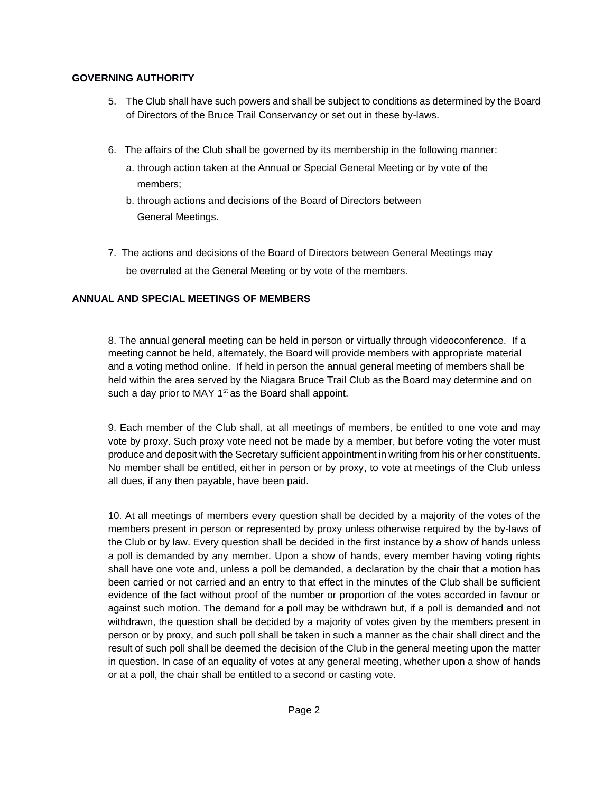## **GOVERNING AUTHORITY**

- 5. The Club shall have such powers and shall be subject to conditions as determined by the Board of Directors of the Bruce Trail Conservancy or set out in these by-laws.
- 6. The affairs of the Club shall be governed by its membership in the following manner:
	- a. through action taken at the Annual or Special General Meeting or by vote of the members;
	- b. through actions and decisions of the Board of Directors between General Meetings.
- 7. The actions and decisions of the Board of Directors between General Meetings may be overruled at the General Meeting or by vote of the members.

# **ANNUAL AND SPECIAL MEETINGS OF MEMBERS**

8. The annual general meeting can be held in person or virtually through videoconference. If a meeting cannot be held, alternately, the Board will provide members with appropriate material and a voting method online. If held in person the annual general meeting of members shall be held within the area served by the Niagara Bruce Trail Club as the Board may determine and on such a day prior to MAY  $1<sup>st</sup>$  as the Board shall appoint.

9. Each member of the Club shall, at all meetings of members, be entitled to one vote and may vote by proxy. Such proxy vote need not be made by a member, but before voting the voter must produce and deposit with the Secretary sufficient appointment in writing from his or her constituents. No member shall be entitled, either in person or by proxy, to vote at meetings of the Club unless all dues, if any then payable, have been paid.

10. At all meetings of members every question shall be decided by a majority of the votes of the members present in person or represented by proxy unless otherwise required by the by-laws of the Club or by law. Every question shall be decided in the first instance by a show of hands unless a poll is demanded by any member. Upon a show of hands, every member having voting rights shall have one vote and, unless a poll be demanded, a declaration by the chair that a motion has been carried or not carried and an entry to that effect in the minutes of the Club shall be sufficient evidence of the fact without proof of the number or proportion of the votes accorded in favour or against such motion. The demand for a poll may be withdrawn but, if a poll is demanded and not withdrawn, the question shall be decided by a majority of votes given by the members present in person or by proxy, and such poll shall be taken in such a manner as the chair shall direct and the result of such poll shall be deemed the decision of the Club in the general meeting upon the matter in question. In case of an equality of votes at any general meeting, whether upon a show of hands or at a poll, the chair shall be entitled to a second or casting vote.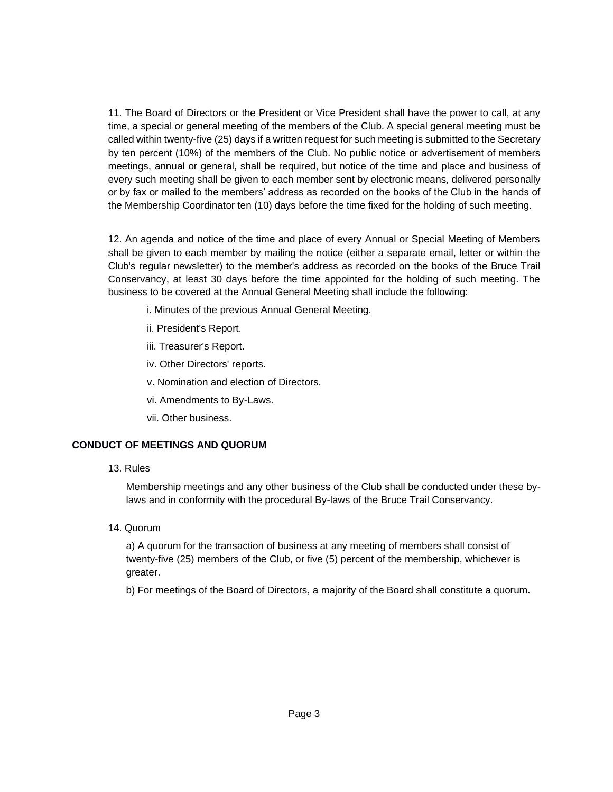11. The Board of Directors or the President or Vice President shall have the power to call, at any time, a special or general meeting of the members of the Club. A special general meeting must be called within twenty-five (25) days if a written request for such meeting is submitted to the Secretary by ten percent (10%) of the members of the Club. No public notice or advertisement of members meetings, annual or general, shall be required, but notice of the time and place and business of every such meeting shall be given to each member sent by electronic means, delivered personally or by fax or mailed to the members' address as recorded on the books of the Club in the hands of the Membership Coordinator ten (10) days before the time fixed for the holding of such meeting.

12. An agenda and notice of the time and place of every Annual or Special Meeting of Members shall be given to each member by mailing the notice (either a separate email, letter or within the Club's regular newsletter) to the member's address as recorded on the books of the Bruce Trail Conservancy, at least 30 days before the time appointed for the holding of such meeting. The business to be covered at the Annual General Meeting shall include the following:

i. Minutes of the previous Annual General Meeting.

- ii. President's Report.
- iii. Treasurer's Report.
- iv. Other Directors' reports.
- v. Nomination and election of Directors.
- vi. Amendments to By-Laws.
- vii. Other business.

## **CONDUCT OF MEETINGS AND QUORUM**

13. Rules

Membership meetings and any other business of the Club shall be conducted under these bylaws and in conformity with the procedural By-laws of the Bruce Trail Conservancy.

14. Quorum

a) A quorum for the transaction of business at any meeting of members shall consist of twenty-five (25) members of the Club, or five (5) percent of the membership, whichever is greater.

b) For meetings of the Board of Directors, a majority of the Board shall constitute a quorum.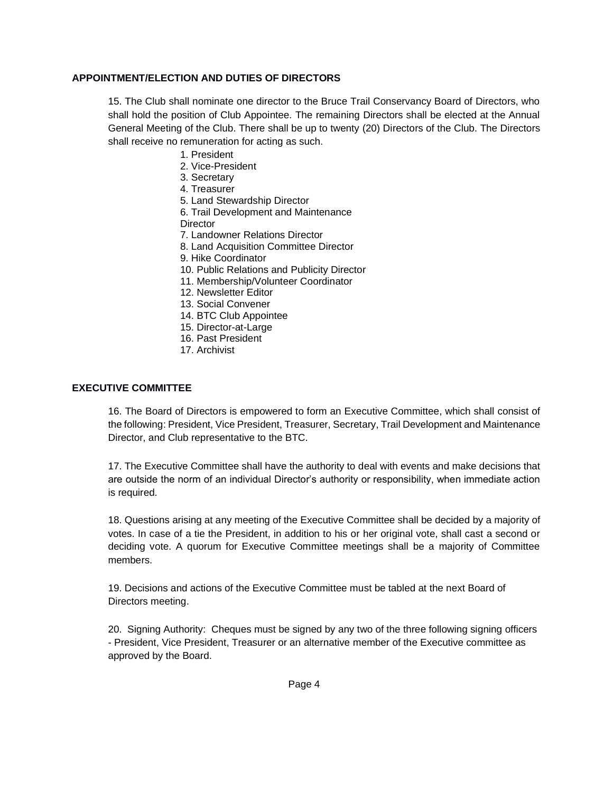### **APPOINTMENT/ELECTION AND DUTIES OF DIRECTORS**

15. The Club shall nominate one director to the Bruce Trail Conservancy Board of Directors, who shall hold the position of Club Appointee. The remaining Directors shall be elected at the Annual General Meeting of the Club. There shall be up to twenty (20) Directors of the Club. The Directors shall receive no remuneration for acting as such.

- 1. President
- 2. Vice-President
- 3. Secretary
- 4. Treasurer
- 5. Land Stewardship Director

6. Trail Development and Maintenance **Director** 

- 7. Landowner Relations Director
- 8. Land Acquisition Committee Director
- 9. Hike Coordinator
- 10. Public Relations and Publicity Director
- 11. Membership/Volunteer Coordinator
- 12. Newsletter Editor
- 13. Social Convener
- 14. BTC Club Appointee
- 15. Director-at-Large
- 16. Past President
- 17. Archivist

#### **EXECUTIVE COMMITTEE**

16. The Board of Directors is empowered to form an Executive Committee, which shall consist of the following: President, Vice President, Treasurer, Secretary, Trail Development and Maintenance Director, and Club representative to the BTC.

17. The Executive Committee shall have the authority to deal with events and make decisions that are outside the norm of an individual Director's authority or responsibility, when immediate action is required.

18. Questions arising at any meeting of the Executive Committee shall be decided by a majority of votes. In case of a tie the President, in addition to his or her original vote, shall cast a second or deciding vote. A quorum for Executive Committee meetings shall be a majority of Committee members.

19. Decisions and actions of the Executive Committee must be tabled at the next Board of Directors meeting.

20. Signing Authority: Cheques must be signed by any two of the three following signing officers - President, Vice President, Treasurer or an alternative member of the Executive committee as approved by the Board.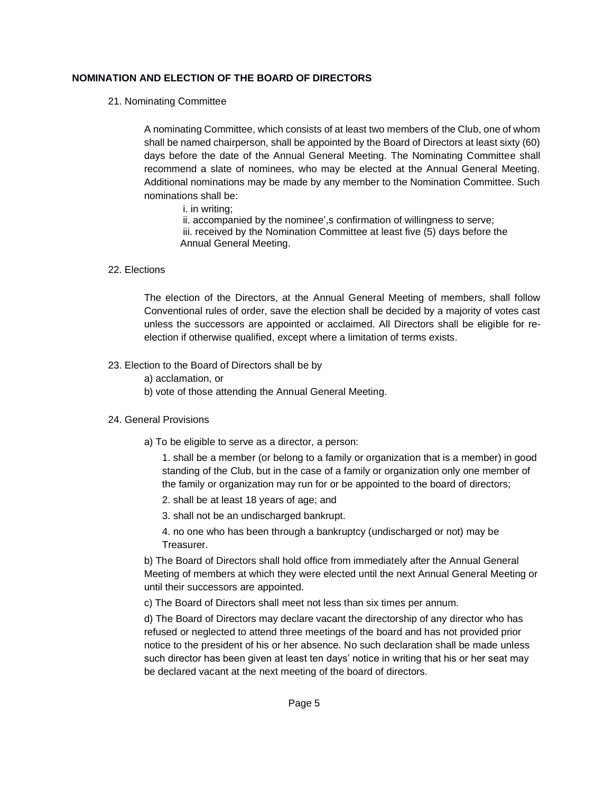### **NOMINATION AND ELECTION OF THE BOARD OF DIRECTORS**

21. Nominating Committee

A nominating Committee, which consists of at least two members of the Club, one of whom shall be named chairperson, shall be appointed by the Board of Directors at least sixty (60) days before the date of the Annual General Meeting. The Nominating Committee shall recommend a slate of nominees, who may be elected at the Annual General Meeting. Additional nominations may be made by any member to the Nomination Committee. Such nominations shall be:

i. in writing;

ii. accompanied by the nominee',s confirmation of willingness to serve; iii. received by the Nomination Committee at least five (5) days before the Annual General Meeting.

22. Elections

The election of the Directors, at the Annual General Meeting of members, shall follow Conventional rules of order, save the election shall be decided by a majority of votes cast unless the successors are appointed or acclaimed. All Directors shall be eligible for reelection if otherwise qualified, except where a limitation of terms exists.

### 23. Election to the Board of Directors shall be by

- a) acclamation, or
- b) vote of those attending the Annual General Meeting.

#### 24. General Provisions

a) To be eligible to serve as a director, a person:

1. shall be a member (or belong to a family or organization that is a member) in good standing of the Club, but in the case of a family or organization only one member of the family or organization may run for or be appointed to the board of directors;

- 2. shall be at least 18 years of age; and
- 3. shall not be an undischarged bankrupt.
- 4. no one who has been through a bankruptcy (undischarged or not) may be Treasurer.

b) The Board of Directors shall hold office from immediately after the Annual General Meeting of members at which they were elected until the next Annual General Meeting or until their successors are appointed.

c) The Board of Directors shall meet not less than six times per annum.

d) The Board of Directors may declare vacant the directorship of any director who has refused or neglected to attend three meetings of the board and has not provided prior notice to the president of his or her absence. No such declaration shall be made unless such director has been given at least ten days' notice in writing that his or her seat may be declared vacant at the next meeting of the board of directors.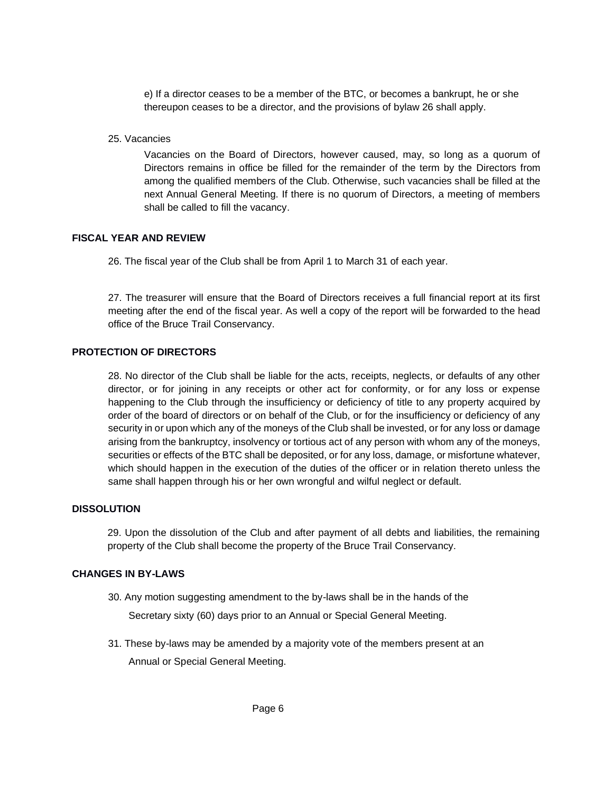e) If a director ceases to be a member of the BTC, or becomes a bankrupt, he or she thereupon ceases to be a director, and the provisions of bylaw 26 shall apply.

25. Vacancies

Vacancies on the Board of Directors, however caused, may, so long as a quorum of Directors remains in office be filled for the remainder of the term by the Directors from among the qualified members of the Club. Otherwise, such vacancies shall be filled at the next Annual General Meeting. If there is no quorum of Directors, a meeting of members shall be called to fill the vacancy.

## **FISCAL YEAR AND REVIEW**

26. The fiscal year of the Club shall be from April 1 to March 31 of each year.

27. The treasurer will ensure that the Board of Directors receives a full financial report at its first meeting after the end of the fiscal year. As well a copy of the report will be forwarded to the head office of the Bruce Trail Conservancy.

## **PROTECTION OF DIRECTORS**

28. No director of the Club shall be liable for the acts, receipts, neglects, or defaults of any other director, or for joining in any receipts or other act for conformity, or for any loss or expense happening to the Club through the insufficiency or deficiency of title to any property acquired by order of the board of directors or on behalf of the Club, or for the insufficiency or deficiency of any security in or upon which any of the moneys of the Club shall be invested, or for any loss or damage arising from the bankruptcy, insolvency or tortious act of any person with whom any of the moneys, securities or effects of the BTC shall be deposited, or for any loss, damage, or misfortune whatever, which should happen in the execution of the duties of the officer or in relation thereto unless the same shall happen through his or her own wrongful and wilful neglect or default.

## **DISSOLUTION**

29. Upon the dissolution of the Club and after payment of all debts and liabilities, the remaining property of the Club shall become the property of the Bruce Trail Conservancy.

### **CHANGES IN BY-LAWS**

- 30. Any motion suggesting amendment to the by-laws shall be in the hands of the Secretary sixty (60) days prior to an Annual or Special General Meeting.
- 31. These by-laws may be amended by a majority vote of the members present at an Annual or Special General Meeting.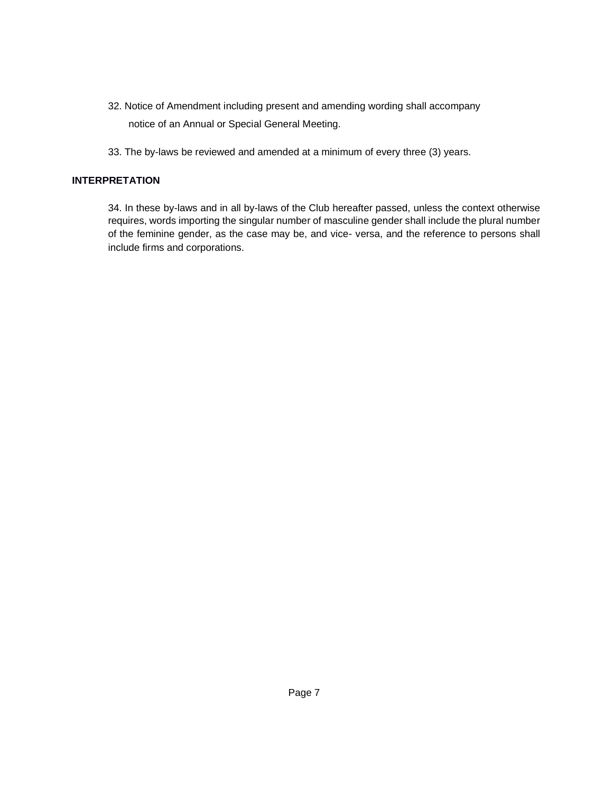- 32. Notice of Amendment including present and amending wording shall accompany notice of an Annual or Special General Meeting.
- 33. The by-laws be reviewed and amended at a minimum of every three (3) years.

## **INTERPRETATION**

34. In these by-laws and in all by-laws of the Club hereafter passed, unless the context otherwise requires, words importing the singular number of masculine gender shall include the plural number of the feminine gender, as the case may be, and vice- versa, and the reference to persons shall include firms and corporations.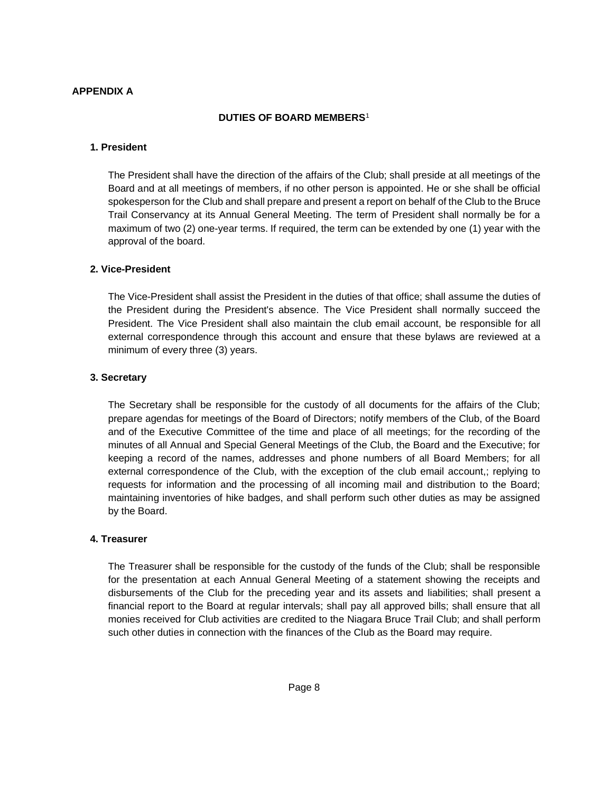### **APPENDIX A**

### **DUTIES OF BOARD MEMBERS**<sup>1</sup>

#### **1. President**

The President shall have the direction of the affairs of the Club; shall preside at all meetings of the Board and at all meetings of members, if no other person is appointed. He or she shall be official spokesperson for the Club and shall prepare and present a report on behalf of the Club to the Bruce Trail Conservancy at its Annual General Meeting. The term of President shall normally be for a maximum of two (2) one-year terms. If required, the term can be extended by one (1) year with the approval of the board.

#### **2. Vice-President**

The Vice-President shall assist the President in the duties of that office; shall assume the duties of the President during the President's absence. The Vice President shall normally succeed the President. The Vice President shall also maintain the club email account, be responsible for all external correspondence through this account and ensure that these bylaws are reviewed at a minimum of every three (3) years.

#### **3. Secretary**

The Secretary shall be responsible for the custody of all documents for the affairs of the Club; prepare agendas for meetings of the Board of Directors; notify members of the Club, of the Board and of the Executive Committee of the time and place of all meetings; for the recording of the minutes of all Annual and Special General Meetings of the Club, the Board and the Executive; for keeping a record of the names, addresses and phone numbers of all Board Members; for all external correspondence of the Club, with the exception of the club email account,; replying to requests for information and the processing of all incoming mail and distribution to the Board; maintaining inventories of hike badges, and shall perform such other duties as may be assigned by the Board.

#### **4. Treasurer**

The Treasurer shall be responsible for the custody of the funds of the Club; shall be responsible for the presentation at each Annual General Meeting of a statement showing the receipts and disbursements of the Club for the preceding year and its assets and liabilities; shall present a financial report to the Board at regular intervals; shall pay all approved bills; shall ensure that all monies received for Club activities are credited to the Niagara Bruce Trail Club; and shall perform such other duties in connection with the finances of the Club as the Board may require.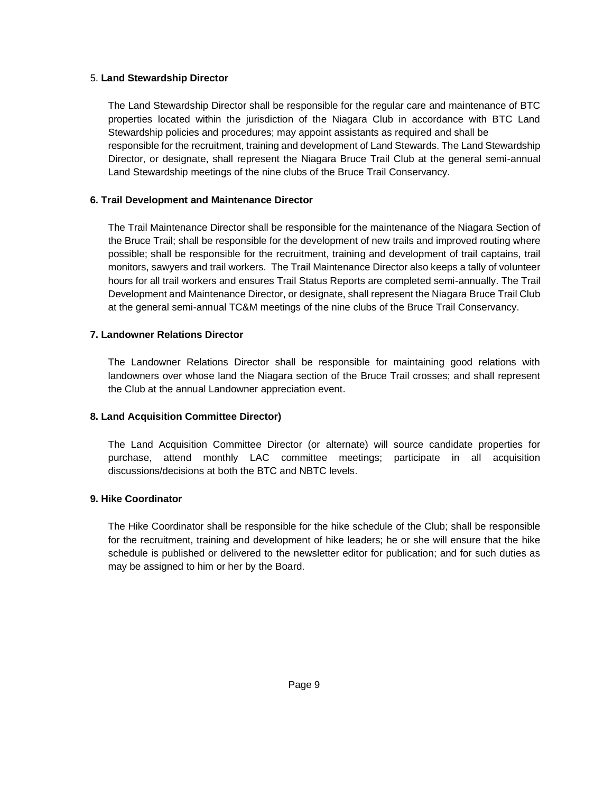#### 5. **Land Stewardship Director**

The Land Stewardship Director shall be responsible for the regular care and maintenance of BTC properties located within the jurisdiction of the Niagara Club in accordance with BTC Land Stewardship policies and procedures; may appoint assistants as required and shall be responsible for the recruitment, training and development of Land Stewards. The Land Stewardship Director, or designate, shall represent the Niagara Bruce Trail Club at the general semi-annual Land Stewardship meetings of the nine clubs of the Bruce Trail Conservancy.

### **6. Trail Development and Maintenance Director**

The Trail Maintenance Director shall be responsible for the maintenance of the Niagara Section of the Bruce Trail; shall be responsible for the development of new trails and improved routing where possible; shall be responsible for the recruitment, training and development of trail captains, trail monitors, sawyers and trail workers. The Trail Maintenance Director also keeps a tally of volunteer hours for all trail workers and ensures Trail Status Reports are completed semi-annually. The Trail Development and Maintenance Director, or designate, shall represent the Niagara Bruce Trail Club at the general semi-annual TC&M meetings of the nine clubs of the Bruce Trail Conservancy.

## **7. Landowner Relations Director**

The Landowner Relations Director shall be responsible for maintaining good relations with landowners over whose land the Niagara section of the Bruce Trail crosses; and shall represent the Club at the annual Landowner appreciation event.

## **8. Land Acquisition Committee Director)**

The Land Acquisition Committee Director (or alternate) will source candidate properties for purchase, attend monthly LAC committee meetings; participate in all acquisition discussions/decisions at both the BTC and NBTC levels.

## **9. Hike Coordinator**

The Hike Coordinator shall be responsible for the hike schedule of the Club; shall be responsible for the recruitment, training and development of hike leaders; he or she will ensure that the hike schedule is published or delivered to the newsletter editor for publication; and for such duties as may be assigned to him or her by the Board.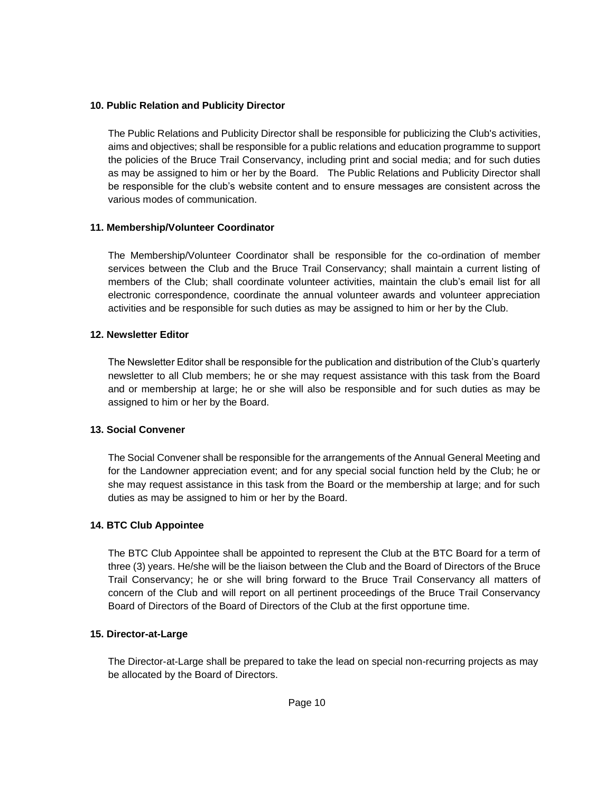### **10. Public Relation and Publicity Director**

The Public Relations and Publicity Director shall be responsible for publicizing the Club's activities, aims and objectives; shall be responsible for a public relations and education programme to support the policies of the Bruce Trail Conservancy, including print and social media; and for such duties as may be assigned to him or her by the Board. The Public Relations and Publicity Director shall be responsible for the club's website content and to ensure messages are consistent across the various modes of communication.

### **11. Membership/Volunteer Coordinator**

The Membership/Volunteer Coordinator shall be responsible for the co-ordination of member services between the Club and the Bruce Trail Conservancy; shall maintain a current listing of members of the Club; shall coordinate volunteer activities, maintain the club's email list for all electronic correspondence, coordinate the annual volunteer awards and volunteer appreciation activities and be responsible for such duties as may be assigned to him or her by the Club.

### **12. Newsletter Editor**

The Newsletter Editor shall be responsible for the publication and distribution of the Club's quarterly newsletter to all Club members; he or she may request assistance with this task from the Board and or membership at large; he or she will also be responsible and for such duties as may be assigned to him or her by the Board.

## **13. Social Convener**

The Social Convener shall be responsible for the arrangements of the Annual General Meeting and for the Landowner appreciation event; and for any special social function held by the Club; he or she may request assistance in this task from the Board or the membership at large; and for such duties as may be assigned to him or her by the Board.

## **14. BTC Club Appointee**

The BTC Club Appointee shall be appointed to represent the Club at the BTC Board for a term of three (3) years. He/she will be the liaison between the Club and the Board of Directors of the Bruce Trail Conservancy; he or she will bring forward to the Bruce Trail Conservancy all matters of concern of the Club and will report on all pertinent proceedings of the Bruce Trail Conservancy Board of Directors of the Board of Directors of the Club at the first opportune time.

## **15. Director-at-Large**

The Director-at-Large shall be prepared to take the lead on special non-recurring projects as may be allocated by the Board of Directors.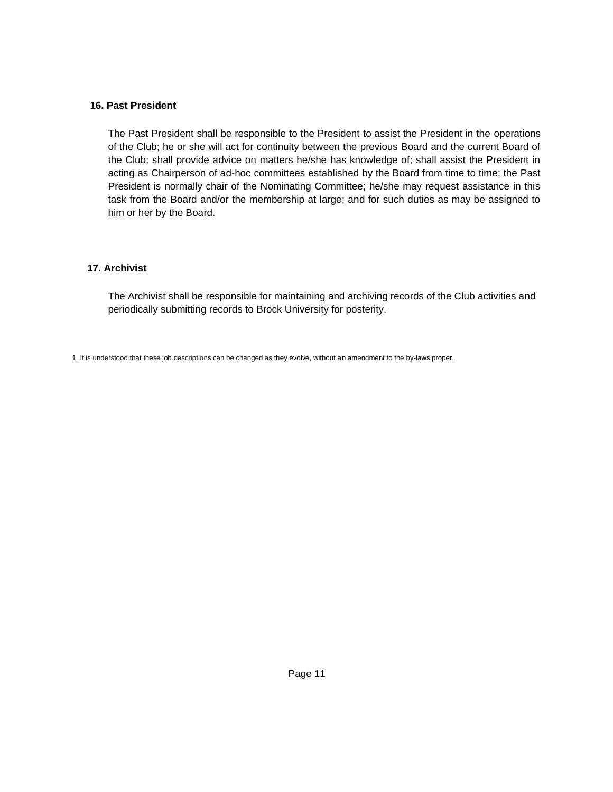#### **16. Past President**

The Past President shall be responsible to the President to assist the President in the operations of the Club; he or she will act for continuity between the previous Board and the current Board of the Club; shall provide advice on matters he/she has knowledge of; shall assist the President in acting as Chairperson of ad-hoc committees established by the Board from time to time; the Past President is normally chair of the Nominating Committee; he/she may request assistance in this task from the Board and/or the membership at large; and for such duties as may be assigned to him or her by the Board.

## **17. Archivist**

The Archivist shall be responsible for maintaining and archiving records of the Club activities and periodically submitting records to Brock University for posterity.

1. It is understood that these job descriptions can be changed as they evolve, without an amendment to the by-laws proper.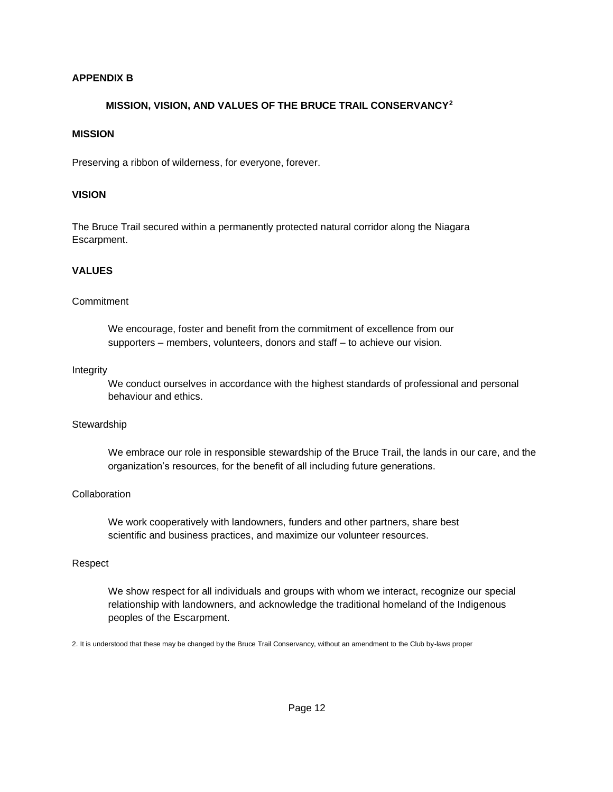## **APPENDIX B**

### **MISSION, VISION, AND VALUES OF THE BRUCE TRAIL CONSERVANCY<sup>2</sup>**

#### **MISSION**

Preserving a ribbon of wilderness, for everyone, forever.

### **VISION**

The Bruce Trail secured within a permanently protected natural corridor along the Niagara Escarpment.

## **VALUES**

#### **Commitment**

We encourage, foster and benefit from the commitment of excellence from our supporters – members, volunteers, donors and staff – to achieve our vision.

#### Integrity

We conduct ourselves in accordance with the highest standards of professional and personal behaviour and ethics.

#### **Stewardship**

We embrace our role in responsible stewardship of the Bruce Trail, the lands in our care, and the organization's resources, for the benefit of all including future generations.

#### **Collaboration**

We work cooperatively with landowners, funders and other partners, share best scientific and business practices, and maximize our volunteer resources.

#### Respect

We show respect for all individuals and groups with whom we interact, recognize our special relationship with landowners, and acknowledge the traditional homeland of the Indigenous peoples of the Escarpment.

2. It is understood that these may be changed by the Bruce Trail Conservancy, without an amendment to the Club by-laws proper